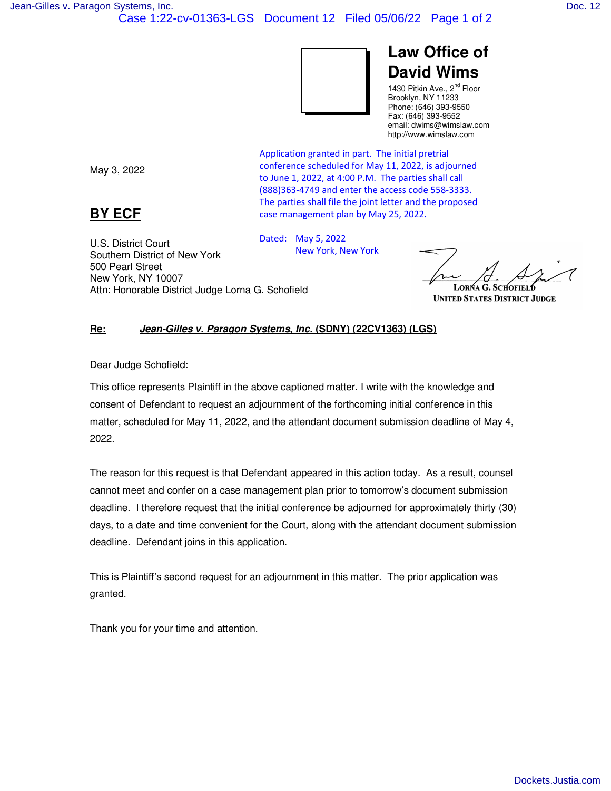## **Law Office of David Wims**

1430 Pitkin Ave., 2<sup>nd</sup> Floor Brooklyn, NY 11233 Phone: (646) 393-9550 Fax: (646) 393-9552 email: dwims@wimslaw.com http://www.wimslaw.com

May 3, 2022

## **BY ECF**

U.S. District Court

500 Pearl Street New York, NY 10007 Application granted in part. The initial pretrial conference scheduled for May 11, 2022, is adjourned to June 1, 2022, at 4:00 P.M. The parties shall call (888)363-4749 and enter the access code 558-3333. The parties shall file the joint letter and the proposed case management plan by May 25, 2022.

Southern District of New York Dated: May 5, 2022 New York, New York

**UNITED STATES DISTRICT JUDGE** 

## **Re:** *Jean-Gilles v. Paragon Systems, Inc.* **(SDNY) (22CV1363) (LGS)**

Attn: Honorable District Judge Lorna G. Schofield

Dear Judge Schofield:

This office represents Plaintiff in the above captioned matter. I write with the knowledge and consent of Defendant to request an adjournment of the forthcoming initial conference in this matter, scheduled for May 11, 2022, and the attendant document submission deadline of May 4, 2022.

The reason for this request is that Defendant appeared in this action today. As a result, counsel cannot meet and confer on a case management plan prior to tomorrow's document submission deadline. I therefore request that the initial conference be adjourned for approximately thirty (30) days, to a date and time convenient for the Court, along with the attendant document submission deadline. Defendant joins in this application.

This is Plaintiff's second request for an adjournment in this matter. The prior application was granted.

Thank you for your time and attention.